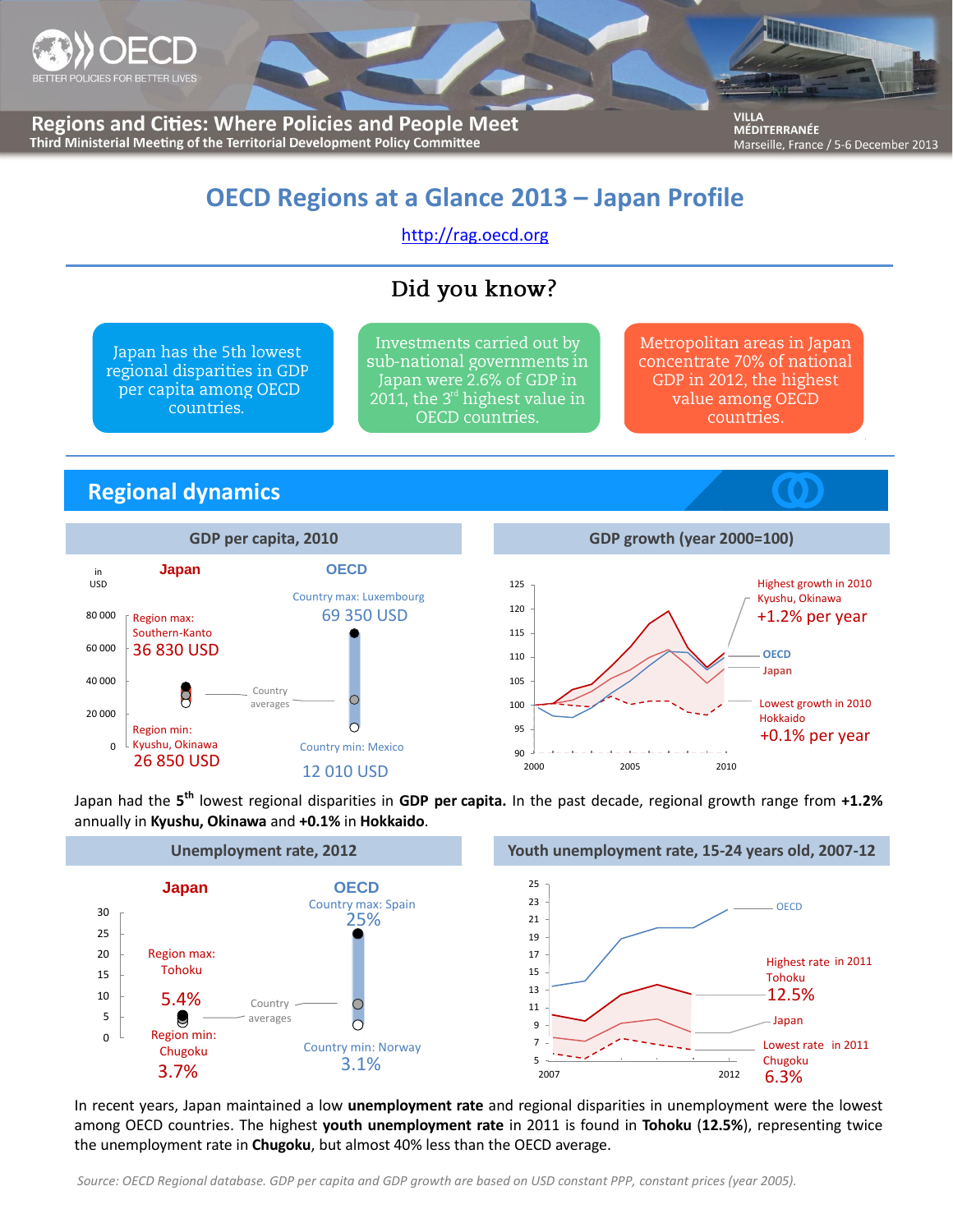

**Regions and Cities: Where Policies and People Meet** Third Ministerial Meeting of the Territorial Development Policy Committee

**VILLA** MÉDITERRANÉE Marseille, France / 5-6 December 2013

# **OECD Regions at a Glance 2013 – Japan Profile**

[http://rag.oecd.org](http://rag.oecd.org/)

# Did you know?

Japan has the 5th lowest regional disparities in GDP per capita among OECD countries.

Investments carried out by sub-national governments in Japan were 2.6% of GDP in 2011, the  $3<sup>rd</sup>$  highest value in OECD countries.

Metropolitan areas in Japan concentrate 70% of national GDP in 2012, the highest value among OECD countries.

## **Regional dynamics**





Japan had the **5 th** lowest regional disparities in **GDP per capita.** In the past decade, regional growth range from **+1.2%** annually in **Kyushu, Okinawa** and **+0.1%** in **Hokkaido**.



In recent years, Japan maintained a low **unemployment rate** and regional disparities in unemployment were the lowest among OECD countries. The highest **youth unemployment rate** in 2011 is found in **Tohoku** (**12.5%**), representing twice the unemployment rate in **Chugoku**, but almost 40% less than the OECD average.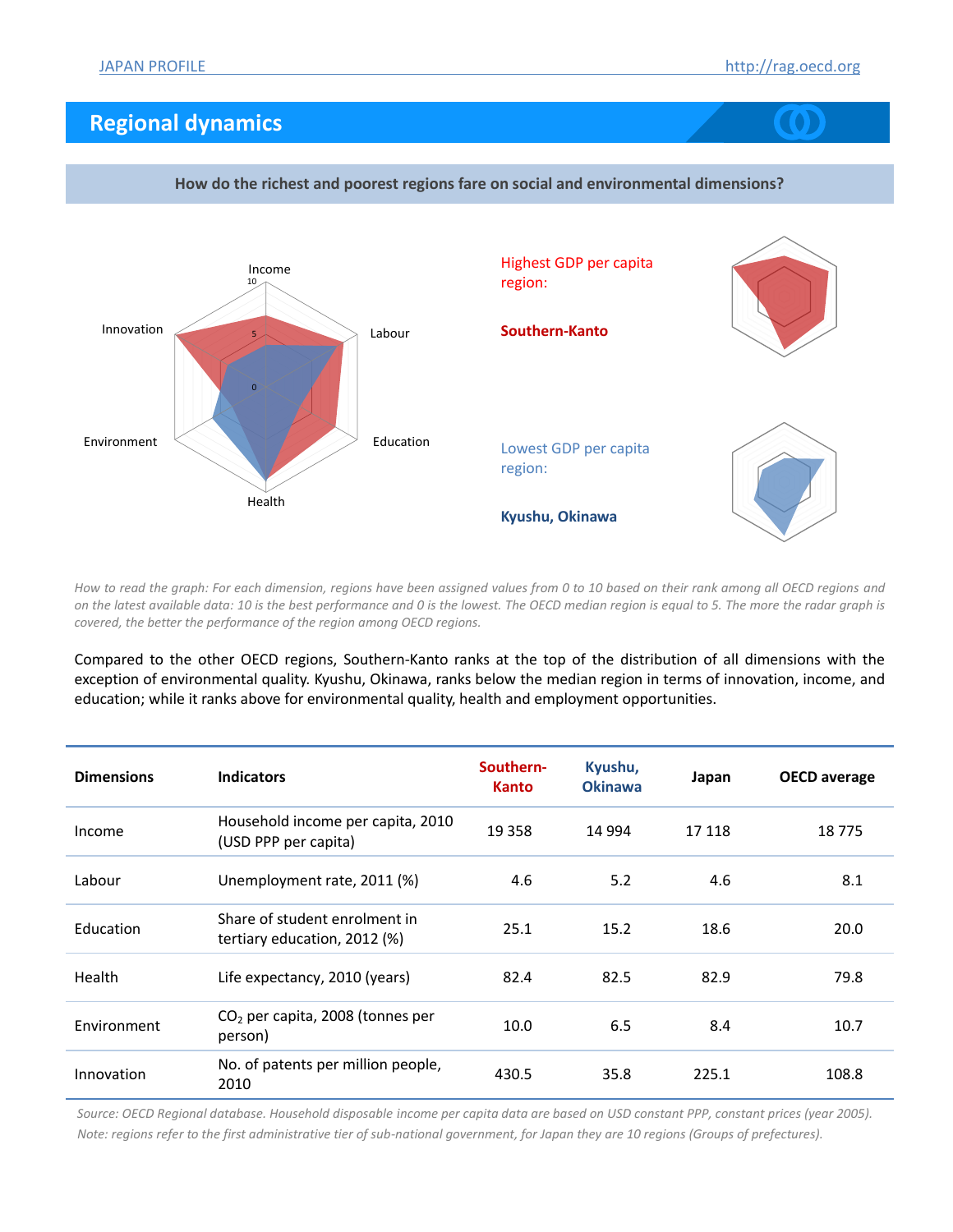## **Regional dynamics**





**How do the richest and poorest regions fare on social and environmental dimensions?**

*How to read the graph: For each dimension, regions have been assigned values from 0 to 10 based on their rank among all OECD regions and on the latest available data: 10 is the best performance and 0 is the lowest. The OECD median region is equal to 5. The more the radar graph is covered, the better the performance of the region among OECD regions.*

Compared to the other OECD regions, Southern-Kanto ranks at the top of the distribution of all dimensions with the exception of environmental quality. Kyushu, Okinawa, ranks below the median region in terms of innovation, income, and education; while it ranks above for environmental quality, health and employment opportunities.

| <b>Dimensions</b> | <b>Indicators</b>                                             | Southern-<br><b>Kanto</b> | Kyushu,<br><b>Okinawa</b> | Japan  | <b>OECD</b> average |
|-------------------|---------------------------------------------------------------|---------------------------|---------------------------|--------|---------------------|
| Income            | Household income per capita, 2010<br>(USD PPP per capita)     | 19 3 5 8                  | 14 9 94                   | 17 118 | 18775               |
| Labour            | Unemployment rate, 2011 (%)                                   | 4.6                       | 5.2                       | 4.6    | 8.1                 |
| Education         | Share of student enrolment in<br>tertiary education, 2012 (%) | 25.1                      | 15.2                      | 18.6   | 20.0                |
| Health            | Life expectancy, 2010 (years)                                 | 82.4                      | 82.5                      | 82.9   | 79.8                |
| Environment       | $CO2$ per capita, 2008 (tonnes per<br>person)                 | 10.0                      | 6.5                       | 8.4    | 10.7                |
| Innovation        | No. of patents per million people,<br>2010                    | 430.5                     | 35.8                      | 225.1  | 108.8               |

*Source: OECD Regional database. Household disposable income per capita data are based on USD constant PPP, constant prices (year 2005). Note: regions refer to the first administrative tier of sub-national government, for Japan they are 10 regions (Groups of prefectures).*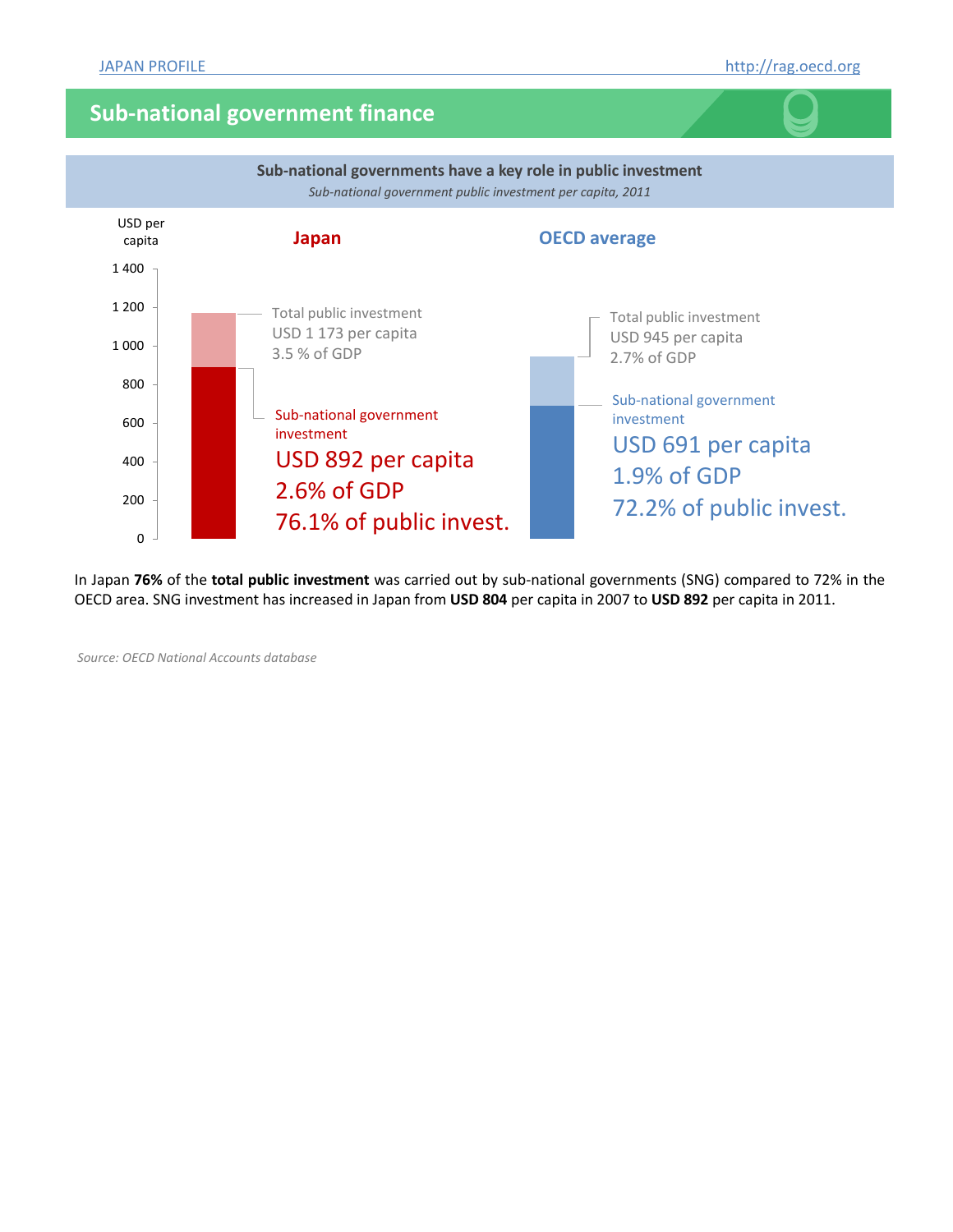### **Sub-national government finance**



In Japan **76%** of the **total public investment** was carried out by sub-national governments (SNG) compared to 72% in the OECD area. SNG investment has increased in Japan from **USD 804** per capita in 2007 to **USD 892** per capita in 2011.

*Source: OECD National Accounts database*